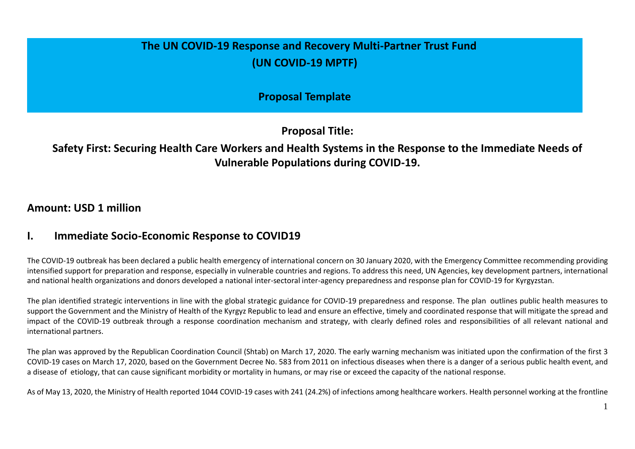# **The UN COVID-19 Response and Recovery Multi-Partner Trust Fund (UN COVID-19 MPTF)**

**Proposal Template**

**Proposal Title:**

# **Safety First: Securing Health Care Workers and Health Systems in the Response to the Immediate Needs of Vulnerable Populations during COVID-19.**

### **Amount: USD 1 million**

### **I. Immediate Socio-Economic Response to COVID19**

The COVID-19 outbreak has been declared a public health emergency of international concern on 30 January 2020, with the Emergency Committee recommending providing intensified support for preparation and response, especially in vulnerable countries and regions. To address this need, UN Agencies, key development partners, international and national health organizations and donors developed a national inter-sectoral inter-agency preparedness and response plan for COVID-19 for Kyrgyzstan.

The plan identified strategic interventions in line with the global strategic guidance for COVID-19 preparedness and response. The plan outlines public health measures to support the Government and the Ministry of Health of the Kyrgyz Republic to lead and ensure an effective, timely and coordinated response that will mitigate the spread and impact of the COVID-19 outbreak through a response coordination mechanism and strategy, with clearly defined roles and responsibilities of all relevant national and international partners.

The plan was approved by the Republican Coordination Council (Shtab) on March 17, 2020. The early warning mechanism was initiated upon the confirmation of the first 3 COVID-19 cases on March 17, 2020, based on the Government Decree No. 583 from 2011 on infectious diseases when there is a danger of a serious public health event, and a disease of etiology, that can cause significant morbidity or mortality in humans, or may rise or exceed the capacity of the national response.

As of May 13, 2020, the Ministry of Health reported 1044 COVID-19 cases with 241 (24.2%) of infections among healthcare workers. Health personnel working at the frontline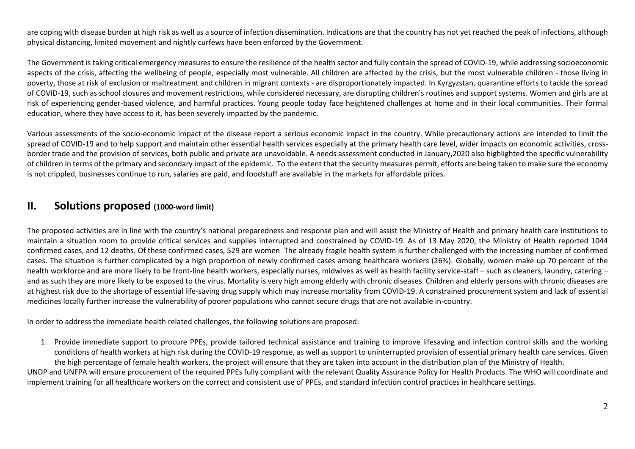are coping with disease burden at high risk as well as a source of infection dissemination. Indications are that the country has not yet reached the peak of infections, although physical distancing, limited movement and nightly curfews have been enforced by the Government.

The Government is taking critical emergency measures to ensure the resilience of the health sector and fully contain the spread of COVID-19, while addressing socioeconomic aspects of the crisis, affecting the wellbeing of people, especially most vulnerable. All children are affected by the crisis, but the most vulnerable children - those living in poverty, those at risk of exclusion or maltreatment and children in migrant contexts - are disproportionately impacted. In Kyrgyzstan, quarantine efforts to tackle the spread of COVID-19, such as school closures and movement restrictions, while considered necessary, are disrupting children's routines and support systems. Women and girls are at risk of experiencing gender-based violence, and harmful practices. Young people today face heightened challenges at home and in their local communities. Their formal education, where they have access to it, has been severely impacted by the pandemic.

Various assessments of the socio-economic impact of the disease report a serious economic impact in the country. While precautionary actions are intended to limit the spread of COVID-19 and to help support and maintain other essential health services especially at the primary health care level, wider impacts on economic activities, crossborder trade and the provision of services, both public and private are unavoidable. A needs assessment conducted in January,2020 also highlighted the specific vulnerability of children in terms of the primary and secondary impact of the epidemic. To the extent that the security measures permit, efforts are being taken to make sure the economy is not crippled, businesses continue to run, salaries are paid, and foodstuff are available in the markets for affordable prices.

### **II. Solutions proposed (1000-word limit)**

The proposed activities are in line with the country's national preparedness and response plan and will assist the Ministry of Health and primary health care institutions to maintain a situation room to provide critical services and supplies interrupted and constrained by COVID-19. As of 13 May 2020, the Ministry of Health reported 1044 confirmed cases, and 12 deaths. Of these confirmed cases, 529 are women. The already fragile health system is further challenged with the increasing number of confirmed cases. The situation is further complicated by a high proportion of newly confirmed cases among healthcare workers (26%). Globally, women make up 70 percent of the health workforce and are more likely to be front-line health workers, especially nurses, midwives as well as health facility service-staff – such as cleaners, laundry, catering – and as such they are more likely to be exposed to the virus. Mortality is very high among elderly with chronic diseases. Children and elderly persons with chronic diseases are at highest risk due to the shortage of essential life-saving drug supply which may increase mortality from COVID-19. A constrained procurement system and lack of essential medicines locally further increase the vulnerability of poorer populations who cannot secure drugs that are not available in-country.

In order to address the immediate health related challenges, the following solutions are proposed:

1. Provide immediate support to procure PPEs, provide tailored technical assistance and training to improve lifesaving and infection control skills and the working conditions of health workers at high risk during the COVID-19 response, as well as support to uninterrupted provision of essential primary health care services. Given the high percentage of female health workers, the project will ensure that they are taken into account in the distribution plan of the Ministry of Health.

UNDP and UNFPA will ensure procurement of the required PPEs fully compliant with the relevant Quality Assurance Policy for Health Products. The WHO will coordinate and implement training for all healthcare workers on the correct and consistent use of PPEs, and standard infection control practices in healthcare settings.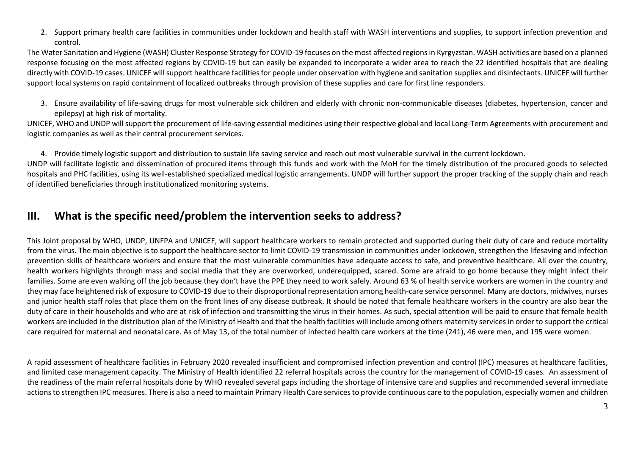2. Support primary health care facilities in communities under lockdown and health staff with WASH interventions and supplies, to support infection prevention and control.

The Water Sanitation and Hygiene (WASH) Cluster Response Strategy for COVID-19 focuses on the most affected regions in Kyrgyzstan. WASH activities are based on a planned response focusing on the most affected regions by COVID-19 but can easily be expanded to incorporate a wider area to reach the 22 identified hospitals that are dealing directly with COVID-19 cases. UNICEF will support healthcare facilities for people under observation with hygiene and sanitation supplies and disinfectants. UNICEF will further support local systems on rapid containment of localized outbreaks through provision of these supplies and care for first line responders.

3. Ensure availability of life-saving drugs for most vulnerable sick children and elderly with chronic non-communicable diseases (diabetes, hypertension, cancer and epilepsy) at high risk of mortality.

UNICEF, WHO and UNDP will support the procurement of life-saving essential medicines using their respective global and local Long-Term Agreements with procurement and logistic companies as well as their central procurement services.

4. Provide timely logistic support and distribution to sustain life saving service and reach out most vulnerable survival in the current lockdown.

UNDP will facilitate logistic and dissemination of procured items through this funds and work with the MoH for the timely distribution of the procured goods to selected hospitals and PHC facilities, using its well-established specialized medical logistic arrangements. UNDP will further support the proper tracking of the supply chain and reach of identified beneficiaries through institutionalized monitoring systems.

## **III. What is the specific need/problem the intervention seeks to address?**

This Joint proposal by WHO, UNDP, UNFPA and UNICEF, will support healthcare workers to remain protected and supported during their duty of care and reduce mortality from the virus. The main objective is to support the healthcare sector to limit COVID-19 transmission in communities under lockdown, strengthen the lifesaving and infection prevention skills of healthcare workers and ensure that the most vulnerable communities have adequate access to safe, and preventive healthcare. All over the country, health workers highlights through mass and social media that they are overworked, underequipped, scared. Some are afraid to go home because they might infect their families. Some are even walking off the job because they don't have the PPE they need to work safely. Around 63 % of health service workers are women in the country and they may face heightened risk of exposure to COVID-19 due to their disproportional representation among health-care service personnel. Many are doctors, midwives, nurses and junior health staff roles that place them on the front lines of any disease outbreak. It should be noted that female healthcare workers in the country are also bear the duty of care in their households and who are at risk of infection and transmitting the virus in their homes. As such, special attention will be paid to ensure that female health workers are included in the distribution plan of the Ministry of Health and that the health facilities will include among others maternity services in order to support the critical care required for maternal and neonatal care. As of May 13, of the total number of infected health care workers at the time (241), 46 were men, and 195 were women.

A rapid assessment of healthcare facilities in February 2020 revealed insufficient and compromised infection prevention and control (IPC) measures at healthcare facilities, and limited case management capacity. The Ministry of Health identified 22 referral hospitals across the country for the management of COVID-19 cases. An assessment of the readiness of the main referral hospitals done by WHO revealed several gaps including the shortage of intensive care and supplies and recommended several immediate actions to strengthen IPC measures. There is also a need to maintain Primary Health Care services to provide continuous care to the population, especially women and children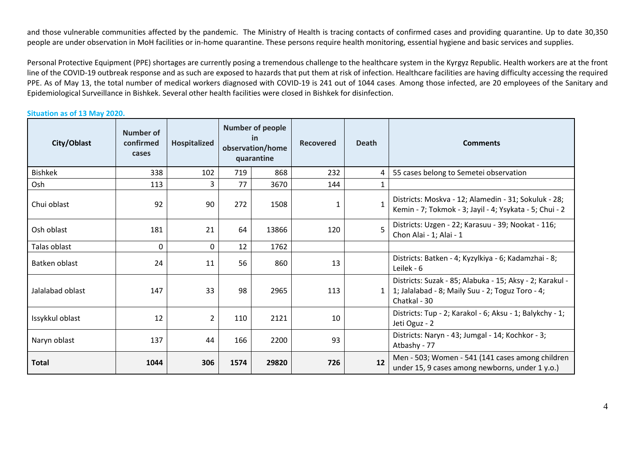and those vulnerable communities affected by the pandemic. The Ministry of Health is tracing contacts of confirmed cases and providing quarantine. Up to date 30,350 people are under observation in MoH facilities or in-home quarantine. These persons require health monitoring, essential hygiene and basic services and supplies.

Personal Protective Equipment (PPE) shortages are currently posing a tremendous challenge to the healthcare system in the Kyrgyz Republic. Health workers are at the front line of the COVID-19 outbreak response and as such are exposed to hazards that put them at risk of infection. Healthcare facilities are having difficulty accessing the required PPE. As of May 13, the total number of medical workers diagnosed with COVID-19 is 241 out of 1044 cases. Among those infected, are 20 employees of the Sanitary and Epidemiological Surveillance in Bishkek. Several other health facilities were closed in Bishkek for disinfection.

#### **Situation as of 13 May 2020.**

| City/Oblast      | Number of<br>confirmed<br>cases | Hospitalized   | <b>Number of people</b><br><b>in</b><br>observation/home<br>quarantine |       | <b>Recovered</b> | <b>Death</b> | <b>Comments</b>                                                                                                              |
|------------------|---------------------------------|----------------|------------------------------------------------------------------------|-------|------------------|--------------|------------------------------------------------------------------------------------------------------------------------------|
| <b>Bishkek</b>   | 338                             | 102            | 719                                                                    | 868   | 232              | 4            | 55 cases belong to Semetei observation                                                                                       |
| Osh              | 113                             | 3              | 77                                                                     | 3670  | 144              | $\mathbf{1}$ |                                                                                                                              |
| Chui oblast      | 92                              | 90             | 272                                                                    | 1508  | 1                | $\mathbf{1}$ | Districts: Moskva - 12; Alamedin - 31; Sokuluk - 28;<br>Kemin - 7; Tokmok - 3; Jayil - 4; Ysykata - 5; Chui - 2              |
| Osh oblast       | 181                             | 21             | 64                                                                     | 13866 | 120              | 5            | Districts: Uzgen - 22; Karasuu - 39; Nookat - 116;<br>Chon Alai - 1; Alai - 1                                                |
| Talas oblast     | 0                               | 0              | 12                                                                     | 1762  |                  |              |                                                                                                                              |
| Batken oblast    | 24                              | 11             | 56                                                                     | 860   | 13               |              | Districts: Batken - 4; Kyzylkiya - 6; Kadamzhai - 8;<br>Leilek - 6                                                           |
| Jalalabad oblast | 147                             | 33             | 98                                                                     | 2965  | 113              | 1            | Districts: Suzak - 85; Alabuka - 15; Aksy - 2; Karakul -<br>1; Jalalabad - 8; Maily Suu - 2; Toguz Toro - 4;<br>Chatkal - 30 |
| Issykkul oblast  | 12                              | $\overline{2}$ | 110                                                                    | 2121  | 10               |              | Districts: Tup - 2; Karakol - 6; Aksu - 1; Balykchy - 1;<br>Jeti Oguz - 2                                                    |
| Naryn oblast     | 137                             | 44             | 166                                                                    | 2200  | 93               |              | Districts: Naryn - 43; Jumgal - 14; Kochkor - 3;<br>Atbashy - 77                                                             |
| <b>Total</b>     | 1044                            | 306            | 1574                                                                   | 29820 | 726              | 12           | Men - 503; Women - 541 (141 cases among children<br>under 15, 9 cases among newborns, under 1 y.o.)                          |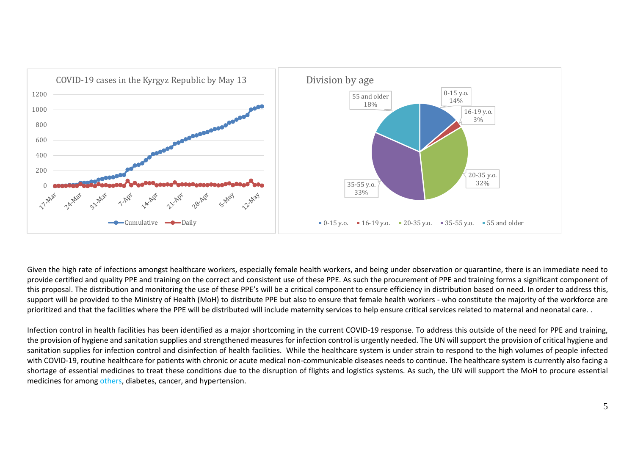

Given the high rate of infections amongst healthcare workers, especially female health workers, and being under observation or quarantine, there is an immediate need to provide certified and quality PPE and training on the correct and consistent use of these PPE. As such the procurement of PPE and training forms a significant component of this proposal. The distribution and monitoring the use of these PPE's will be a critical component to ensure efficiency in distribution based on need. In order to address this, support will be provided to the Ministry of Health (MoH) to distribute PPE but also to ensure that female health workers - who constitute the majority of the workforce are prioritized and that the facilities where the PPE will be distributed will include maternity services to help ensure critical services related to maternal and neonatal care. .

Infection control in health facilities has been identified as a major shortcoming in the current COVID-19 response. To address this outside of the need for PPE and training, the provision of hygiene and sanitation supplies and strengthened measures for infection control is urgently needed. The UN will support the provision of critical hygiene and sanitation supplies for infection control and disinfection of health facilities. While the healthcare system is under strain to respond to the high volumes of people infected with COVID-19, routine healthcare for patients with chronic or acute medical non-communicable diseases needs to continue. The healthcare system is currently also facing a shortage of essential medicines to treat these conditions due to the disruption of flights and logistics systems. As such, the UN will support the MoH to procure essential medicines for among others, diabetes, cancer, and hypertension.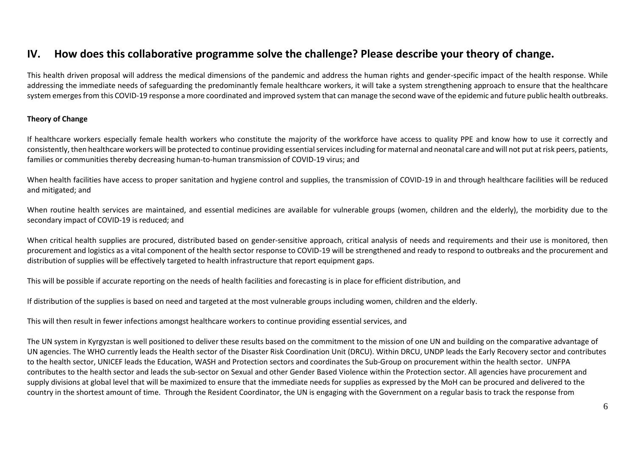## **IV. How does this collaborative programme solve the challenge? Please describe your theory of change.**

This health driven proposal will address the medical dimensions of the pandemic and address the human rights and gender-specific impact of the health response. While addressing the immediate needs of safeguarding the predominantly female healthcare workers, it will take a system strengthening approach to ensure that the healthcare system emerges from this COVID-19 response a more coordinated and improved system that can manage the second wave of the epidemic and future public health outbreaks.

#### **Theory of Change**

If healthcare workers especially female health workers who constitute the majority of the workforce have access to quality PPE and know how to use it correctly and consistently, then healthcare workers will be protected to continue providing essential services including for maternal and neonatal care and will not put at risk peers, patients, families or communities thereby decreasing human-to-human transmission of COVID-19 virus; and

When health facilities have access to proper sanitation and hygiene control and supplies, the transmission of COVID-19 in and through healthcare facilities will be reduced and mitigated; and

When routine health services are maintained, and essential medicines are available for vulnerable groups (women, children and the elderly), the morbidity due to the secondary impact of COVID-19 is reduced; and

When critical health supplies are procured, distributed based on gender-sensitive approach, critical analysis of needs and requirements and their use is monitored, then procurement and logistics as a vital component of the health sector response to COVID-19 will be strengthened and ready to respond to outbreaks and the procurement and distribution of supplies will be effectively targeted to health infrastructure that report equipment gaps.

This will be possible if accurate reporting on the needs of health facilities and forecasting is in place for efficient distribution, and

If distribution of the supplies is based on need and targeted at the most vulnerable groups including women, children and the elderly.

This will then result in fewer infections amongst healthcare workers to continue providing essential services, and

The UN system in Kyrgyzstan is well positioned to deliver these results based on the commitment to the mission of one UN and building on the comparative advantage of UN agencies. The WHO currently leads the Health sector of the Disaster Risk Coordination Unit (DRCU). Within DRCU, UNDP leads the Early Recovery sector and contributes to the health sector, UNICEF leads the Education, WASH and Protection sectors and coordinates the Sub-Group on procurement within the health sector. UNFPA contributes to the health sector and leads the sub-sector on Sexual and other Gender Based Violence within the Protection sector. All agencies have procurement and supply divisions at global level that will be maximized to ensure that the immediate needs for supplies as expressed by the MoH can be procured and delivered to the country in the shortest amount of time. Through the Resident Coordinator, the UN is engaging with the Government on a regular basis to track the response from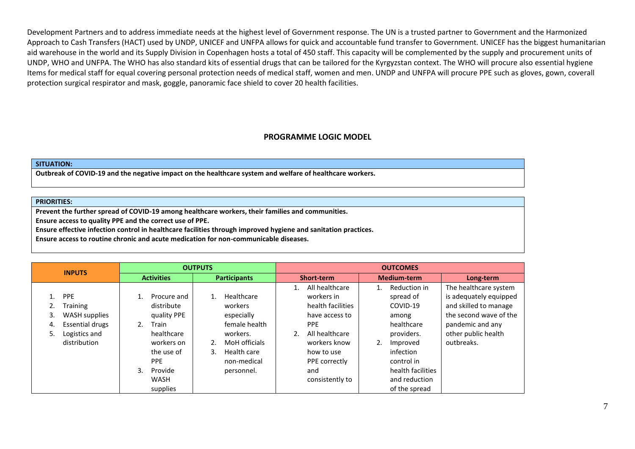Development Partners and to address immediate needs at the highest level of Government response. The UN is a trusted partner to Government and the Harmonized Approach to Cash Transfers (HACT) used by UNDP, UNICEF and UNFPA allows for quick and accountable fund transfer to Government. UNICEF has the biggest humanitarian aid warehouse in the world and its Supply Division in Copenhagen hosts a total of 450 staff. This capacity will be complemented by the supply and procurement units of UNDP, WHO and UNFPA. The WHO has also standard kits of essential drugs that can be tailored for the Kyrgyzstan context. The WHO will procure also essential hygiene Items for medical staff for equal covering personal protection needs of medical staff, women and men. UNDP and UNFPA will procure PPE such as gloves, gown, coverall protection surgical respirator and mask, goggle, panoramic face shield to cover 20 health facilities.

#### **PROGRAMME LOGIC MODEL**

#### **SITUATION:**

**Outbreak of COVID-19 and the negative impact on the healthcare system and welfare of healthcare workers.**

#### **PRIORITIES:**

**Prevent the further spread of COVID-19 among healthcare workers, their families and communities.**

**Ensure access to quality PPE and the correct use of PPE.**

**Ensure effective infection control in healthcare facilities through improved hygiene and sanitation practices.**

**Ensure access to routine chronic and acute medication for non-communicable diseases.**

| <b>INPUTS</b>        |                                                                                                    | <b>OUTPUTS</b>    |                                                                                                                                                 |                     |                                                                                                                               |                   | <b>OUTCOMES</b>                                                                                                                                                              |                    |                                                                                                                                                                          |                                                                                                                                                             |  |
|----------------------|----------------------------------------------------------------------------------------------------|-------------------|-------------------------------------------------------------------------------------------------------------------------------------------------|---------------------|-------------------------------------------------------------------------------------------------------------------------------|-------------------|------------------------------------------------------------------------------------------------------------------------------------------------------------------------------|--------------------|--------------------------------------------------------------------------------------------------------------------------------------------------------------------------|-------------------------------------------------------------------------------------------------------------------------------------------------------------|--|
|                      |                                                                                                    | <b>Activities</b> |                                                                                                                                                 | <b>Participants</b> |                                                                                                                               | <b>Short-term</b> |                                                                                                                                                                              | <b>Medium-term</b> |                                                                                                                                                                          | Long-term                                                                                                                                                   |  |
| 1.<br>3.<br>4.<br>5. | <b>PPE</b><br>Training<br>WASH supplies<br><b>Essential drugs</b><br>Logistics and<br>distribution | 1.<br>2.<br>3.    | Procure and<br>distribute<br>quality PPE<br>Train<br>healthcare<br>workers on<br>the use of<br><b>PPE</b><br>Provide<br><b>WASH</b><br>supplies | 2.<br>3.            | Healthcare<br>workers<br>especially<br>female health<br>workers.<br>MoH officials<br>Health care<br>non-medical<br>personnel. |                   | All healthcare<br>workers in<br>health facilities<br>have access to<br><b>PPE</b><br>All healthcare<br>workers know<br>how to use<br>PPE correctly<br>and<br>consistently to | 1.<br>2.           | Reduction in<br>spread of<br>COVID-19<br>among<br>healthcare<br>providers.<br>Improved<br>infection<br>control in<br>health facilities<br>and reduction<br>of the spread | The healthcare system<br>is adequately equipped<br>and skilled to manage<br>the second wave of the<br>pandemic and any<br>other public health<br>outbreaks. |  |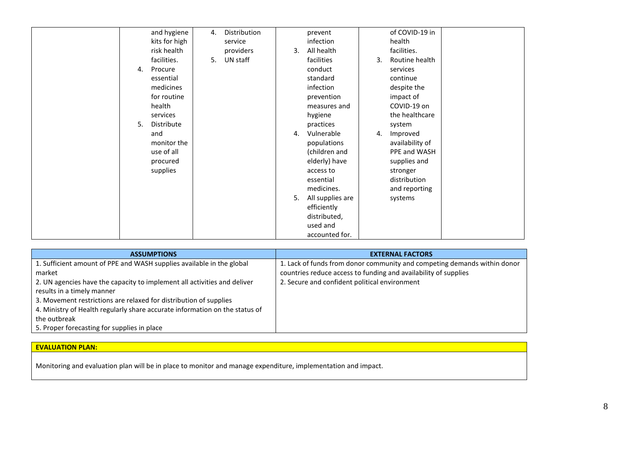| and hygiene<br>kits for high<br>risk health<br>facilities.<br>Procure<br>4.<br>essential<br>medicines<br>for routine<br>health<br>services<br>Distribute<br>5.<br>and<br>monitor the<br>use of all<br>procured<br>supplies | Distribution<br>prevent<br>4.<br>infection<br>service<br>All health<br>3.<br>providers<br>UN staff<br>facilities<br>5.<br>conduct<br>standard<br>infection<br>prevention<br>measures and<br>hygiene<br>practices<br>Vulnerable<br>4.<br>populations<br>(children and<br>elderly) have<br>access to<br>essential<br>medicines.<br>All supplies are<br>5.<br>efficiently<br>distributed,<br>used and<br>accounted for. | of COVID-19 in<br>health<br>facilities.<br>Routine health<br>3.<br>services<br>continue<br>despite the<br>impact of<br>COVID-19 on<br>the healthcare<br>system<br>Improved<br>4.<br>availability of<br>PPE and WASH<br>supplies and<br>stronger<br>distribution<br>and reporting<br>systems |
|----------------------------------------------------------------------------------------------------------------------------------------------------------------------------------------------------------------------------|----------------------------------------------------------------------------------------------------------------------------------------------------------------------------------------------------------------------------------------------------------------------------------------------------------------------------------------------------------------------------------------------------------------------|---------------------------------------------------------------------------------------------------------------------------------------------------------------------------------------------------------------------------------------------------------------------------------------------|
|----------------------------------------------------------------------------------------------------------------------------------------------------------------------------------------------------------------------------|----------------------------------------------------------------------------------------------------------------------------------------------------------------------------------------------------------------------------------------------------------------------------------------------------------------------------------------------------------------------------------------------------------------------|---------------------------------------------------------------------------------------------------------------------------------------------------------------------------------------------------------------------------------------------------------------------------------------------|

| <b>ASSUMPTIONS</b>                                                          | <b>EXTERNAL FACTORS</b>                                                  |
|-----------------------------------------------------------------------------|--------------------------------------------------------------------------|
| 1. Sufficient amount of PPE and WASH supplies available in the global       | 1. Lack of funds from donor community and competing demands within donor |
| market                                                                      | countries reduce access to funding and availability of supplies          |
| 2. UN agencies have the capacity to implement all activities and deliver    | 2. Secure and confident political environment                            |
| results in a timely manner                                                  |                                                                          |
| 3. Movement restrictions are relaxed for distribution of supplies           |                                                                          |
| 4. Ministry of Health regularly share accurate information on the status of |                                                                          |
| the outbreak                                                                |                                                                          |
| 5. Proper forecasting for supplies in place                                 |                                                                          |

### **EVALUATION PLAN:**

Monitoring and evaluation plan will be in place to monitor and manage expenditure, implementation and impact.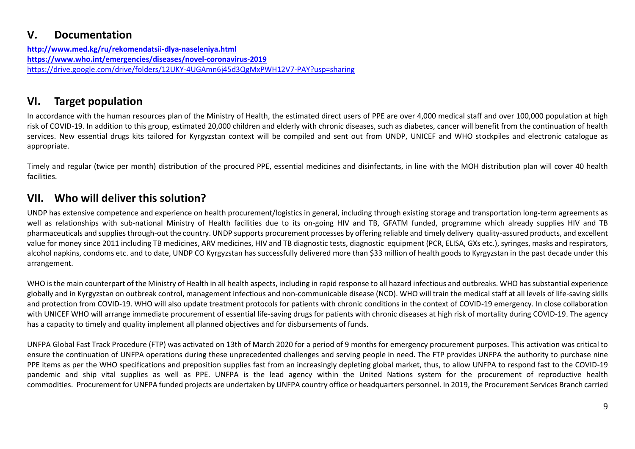## **V. Documentation**

**<http://www.med.kg/ru/rekomendatsii-dlya-naseleniya.html> <https://www.who.int/emergencies/diseases/novel-coronavirus-2019>** <https://drive.google.com/drive/folders/12UKY-4UGAmn6j45d3QgMxPWH12V7-PAY?usp=sharing>

## **VI. Target population**

In accordance with the human resources plan of the Ministry of Health, the estimated direct users of PPE are over 4,000 medical staff and over 100,000 population at high risk of COVID-19. In addition to this group, estimated 20,000 children and elderly with chronic diseases, such as diabetes, cancer will benefit from the continuation of health services. New essential drugs kits tailored for Kyrgyzstan context will be compiled and sent out from UNDP, UNICEF and WHO stockpiles and electronic catalogue as appropriate.

Timely and regular (twice per month) distribution of the procured PPE, essential medicines and disinfectants, in line with the MOH distribution plan will cover 40 health facilities.

## **VII. Who will deliver this solution?**

UNDP has extensive competence and experience on health procurement/logistics in general, including through existing storage and transportation long-term agreements as well as relationships with sub-national Ministry of Health facilities due to its on-going HIV and TB, GFATM funded, programme which already supplies HIV and TB pharmaceuticals and supplies through-out the country. UNDP supports procurement processes by offering reliable and timely delivery quality-assured products, and excellent value for money since 2011 including TB medicines, ARV medicines, HIV and TB diagnostic tests, diagnostic equipment (PCR, ELISA, GXs etc.), syringes, masks and respirators, alcohol napkins, condoms etc. and to date, UNDP CO Kyrgyzstan has successfully delivered more than \$33 million of health goods to Kyrgyzstan in the past decade under this arrangement.

WHO is the main counterpart of the Ministry of Health in all health aspects, including in rapid response to all hazard infectious and outbreaks. WHO has substantial experience globally and in Kyrgyzstan on outbreak control, management infectious and non-communicable disease (NCD). WHO will train the medical staff at all levels of life-saving skills and protection from COVID-19. WHO will also update treatment protocols for patients with chronic conditions in the context of COVID-19 emergency. In close collaboration with UNICEF WHO will arrange immediate procurement of essential life-saving drugs for patients with chronic diseases at high risk of mortality during COVID-19. The agency has a capacity to timely and quality implement all planned objectives and for disbursements of funds.

UNFPA Global Fast Track Procedure (FTP) was activated on 13th of March 2020 for a period of 9 months for emergency procurement purposes. This activation was critical to ensure the continuation of UNFPA operations during these unprecedented challenges and serving people in need. The FTP provides UNFPA the authority to purchase nine PPE items as per the WHO specifications and preposition supplies fast from an increasingly depleting global market, thus, to allow UNFPA to respond fast to the COVID-19 pandemic and ship vital supplies as well as PPE. UNFPA is the lead agency within the United Nations system for the procurement of reproductive health commodities. Procurement for UNFPA funded projects are undertaken by UNFPA country office or headquarters personnel. In 2019, the Procurement Services Branch carried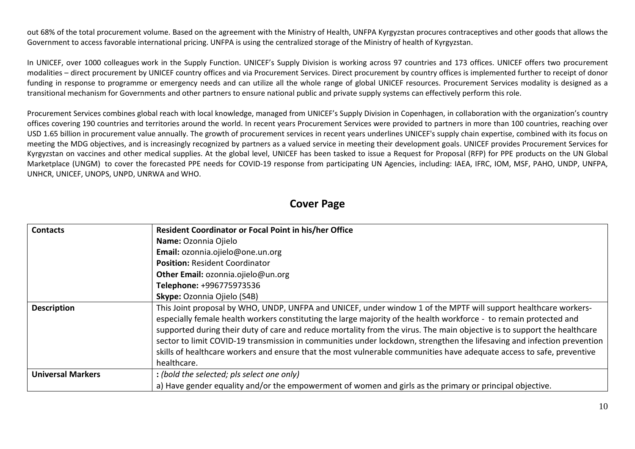out 68% of the total procurement volume. Based on the agreement with the Ministry of Health, UNFPA Kyrgyzstan procures contraceptives and other goods that allows the Government to access favorable international pricing. UNFPA is using the centralized storage of the Ministry of health of Kyrgyzstan.

In UNICEF, over 1000 colleagues work in the Supply Function. UNICEF's Supply Division is working across 97 countries and 173 offices. UNICEF offers two procurement modalities – direct procurement by UNICEF country offices and via Procurement Services. Direct procurement by country offices is implemented further to receipt of donor funding in response to programme or emergency needs and can utilize all the whole range of global UNICEF resources. Procurement Services modality is designed as a transitional mechanism for Governments and other partners to ensure national public and private supply systems can effectively perform this role.

Procurement Services combines global reach with local knowledge, managed from UNICEF's Supply Division in Copenhagen, in collaboration with the organization's country offices covering 190 countries and territories around the world. In recent years Procurement Services were provided to partners in more than 100 countries, reaching over USD 1.65 billion in procurement value annually. The growth of procurement services in recent years underlines UNICEF's supply chain expertise, combined with its focus on meeting the MDG objectives, and is increasingly recognized by partners as a valued service in meeting their development goals. UNICEF provides Procurement Services for Kyrgyzstan on vaccines and other medical supplies. At the global level, UNICEF has been tasked to issue a Request for Proposal (RFP) for PPE products on the UN Global Marketplace (UNGM) to cover the forecasted PPE needs for COVID-19 response from participating UN Agencies, including: IAEA, IFRC, IOM, MSF, PAHO, UNDP, UNFPA, UNHCR, UNICEF, UNOPS, UNPD, UNRWA and WHO.

### **Cover Page**

| <b>Contacts</b>          | <b>Resident Coordinator or Focal Point in his/her Office</b>                                                             |
|--------------------------|--------------------------------------------------------------------------------------------------------------------------|
|                          | Name: Ozonnia Ojielo                                                                                                     |
|                          | Email: ozonnia.ojielo@one.un.org                                                                                         |
|                          | <b>Position: Resident Coordinator</b>                                                                                    |
|                          | Other Email: ozonnia.ojielo@un.org                                                                                       |
|                          | Telephone: +996775973536                                                                                                 |
|                          | Skype: Ozonnia Ojielo (S4B)                                                                                              |
| <b>Description</b>       | This Joint proposal by WHO, UNDP, UNFPA and UNICEF, under window 1 of the MPTF will support healthcare workers-          |
|                          | especially female health workers constituting the large majority of the health workforce - to remain protected and       |
|                          | supported during their duty of care and reduce mortality from the virus. The main objective is to support the healthcare |
|                          | sector to limit COVID-19 transmission in communities under lockdown, strengthen the lifesaving and infection prevention  |
|                          | skills of healthcare workers and ensure that the most vulnerable communities have adequate access to safe, preventive    |
|                          | healthcare.                                                                                                              |
| <b>Universal Markers</b> | : (bold the selected; pls select one only)                                                                               |
|                          | a) Have gender equality and/or the empowerment of women and girls as the primary or principal objective.                 |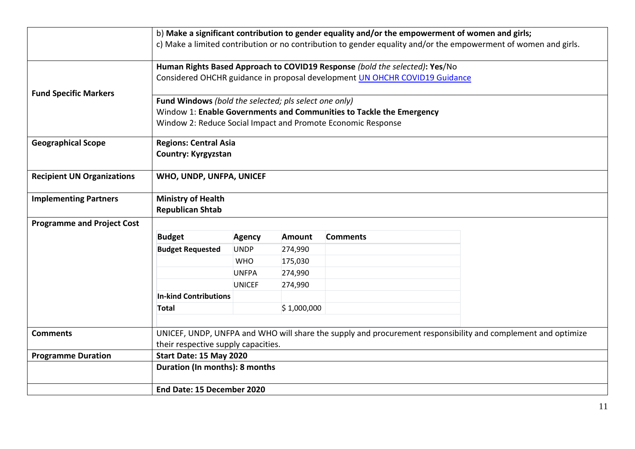|                                   |                                                                                                                                                                                               |               |               | b) Make a significant contribution to gender equality and/or the empowerment of women and girls; |  | c) Make a limited contribution or no contribution to gender equality and/or the empowerment of women and girls. |  |  |
|-----------------------------------|-----------------------------------------------------------------------------------------------------------------------------------------------------------------------------------------------|---------------|---------------|--------------------------------------------------------------------------------------------------|--|-----------------------------------------------------------------------------------------------------------------|--|--|
|                                   | Human Rights Based Approach to COVID19 Response (bold the selected): Yes/No<br>Considered OHCHR guidance in proposal development UN OHCHR COVID19 Guidance                                    |               |               |                                                                                                  |  |                                                                                                                 |  |  |
| <b>Fund Specific Markers</b>      | Fund Windows (bold the selected; pls select one only)<br>Window 1: Enable Governments and Communities to Tackle the Emergency<br>Window 2: Reduce Social Impact and Promote Economic Response |               |               |                                                                                                  |  |                                                                                                                 |  |  |
| <b>Geographical Scope</b>         | <b>Regions: Central Asia</b><br><b>Country: Kyrgyzstan</b>                                                                                                                                    |               |               |                                                                                                  |  |                                                                                                                 |  |  |
| <b>Recipient UN Organizations</b> | WHO, UNDP, UNFPA, UNICEF                                                                                                                                                                      |               |               |                                                                                                  |  |                                                                                                                 |  |  |
| <b>Implementing Partners</b>      | <b>Ministry of Health</b><br><b>Republican Shtab</b>                                                                                                                                          |               |               |                                                                                                  |  |                                                                                                                 |  |  |
| <b>Programme and Project Cost</b> |                                                                                                                                                                                               |               |               |                                                                                                  |  |                                                                                                                 |  |  |
|                                   | <b>Budget</b>                                                                                                                                                                                 | <b>Agency</b> | <b>Amount</b> | <b>Comments</b>                                                                                  |  |                                                                                                                 |  |  |
|                                   | <b>Budget Requested</b>                                                                                                                                                                       | <b>UNDP</b>   | 274,990       |                                                                                                  |  |                                                                                                                 |  |  |
|                                   |                                                                                                                                                                                               | <b>WHO</b>    | 175,030       |                                                                                                  |  |                                                                                                                 |  |  |
|                                   |                                                                                                                                                                                               | <b>UNFPA</b>  | 274,990       |                                                                                                  |  |                                                                                                                 |  |  |
|                                   |                                                                                                                                                                                               | <b>UNICEF</b> | 274,990       |                                                                                                  |  |                                                                                                                 |  |  |
|                                   | <b>In-kind Contributions</b>                                                                                                                                                                  |               |               |                                                                                                  |  |                                                                                                                 |  |  |
|                                   | <b>Total</b>                                                                                                                                                                                  |               | \$1,000,000   |                                                                                                  |  |                                                                                                                 |  |  |
| <b>Comments</b>                   | their respective supply capacities.                                                                                                                                                           |               |               |                                                                                                  |  | UNICEF, UNDP, UNFPA and WHO will share the supply and procurement responsibility and complement and optimize    |  |  |
| <b>Programme Duration</b>         | Start Date: 15 May 2020                                                                                                                                                                       |               |               |                                                                                                  |  |                                                                                                                 |  |  |
|                                   | Duration (In months): 8 months                                                                                                                                                                |               |               |                                                                                                  |  |                                                                                                                 |  |  |
|                                   | End Date: 15 December 2020                                                                                                                                                                    |               |               |                                                                                                  |  |                                                                                                                 |  |  |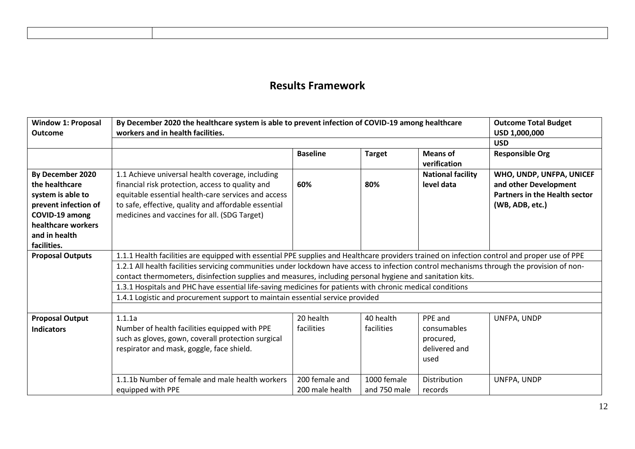## **Results Framework**

| <b>Window 1: Proposal</b><br><b>Outcome</b>                                                  | By December 2020 the healthcare system is able to prevent infection of COVID-19 among healthcare<br>workers and in health facilities.                       | <b>Outcome Total Budget</b><br>USD 1,000,000 |                             |                                                   |                                                                                           |
|----------------------------------------------------------------------------------------------|-------------------------------------------------------------------------------------------------------------------------------------------------------------|----------------------------------------------|-----------------------------|---------------------------------------------------|-------------------------------------------------------------------------------------------|
|                                                                                              |                                                                                                                                                             |                                              |                             |                                                   | <b>USD</b>                                                                                |
|                                                                                              |                                                                                                                                                             | <b>Baseline</b>                              | <b>Target</b>               | <b>Means of</b><br>verification                   | <b>Responsible Org</b>                                                                    |
| By December 2020<br>the healthcare<br>system is able to                                      | 1.1 Achieve universal health coverage, including<br>financial risk protection, access to quality and<br>equitable essential health-care services and access | 60%                                          | 80%                         | <b>National facility</b><br>level data            | WHO, UNDP, UNFPA, UNICEF<br>and other Development<br><b>Partners in the Health sector</b> |
| prevent infection of<br>COVID-19 among<br>healthcare workers<br>and in health<br>facilities. | to safe, effective, quality and affordable essential<br>medicines and vaccines for all. (SDG Target)                                                        |                                              |                             |                                                   | (WB, ADB, etc.)                                                                           |
| <b>Proposal Outputs</b>                                                                      | 1.1.1 Health facilities are equipped with essential PPE supplies and Healthcare providers trained on infection control and proper use of PPE                |                                              |                             |                                                   |                                                                                           |
|                                                                                              | 1.2.1 All health facilities servicing communities under lockdown have access to infection control mechanisms through the provision of non-                  |                                              |                             |                                                   |                                                                                           |
|                                                                                              | contact thermometers, disinfection supplies and measures, including personal hygiene and sanitation kits.                                                   |                                              |                             |                                                   |                                                                                           |
|                                                                                              | 1.3.1 Hospitals and PHC have essential life-saving medicines for patients with chronic medical conditions                                                   |                                              |                             |                                                   |                                                                                           |
|                                                                                              | 1.4.1 Logistic and procurement support to maintain essential service provided                                                                               |                                              |                             |                                                   |                                                                                           |
|                                                                                              |                                                                                                                                                             |                                              |                             |                                                   |                                                                                           |
| <b>Proposal Output</b>                                                                       | 1.1.1a                                                                                                                                                      | 20 health                                    | 40 health                   | PPE and                                           | UNFPA, UNDP                                                                               |
| <b>Indicators</b>                                                                            | Number of health facilities equipped with PPE<br>such as gloves, gown, coverall protection surgical<br>respirator and mask, goggle, face shield.            | facilities                                   | facilities                  | consumables<br>procured,<br>delivered and<br>used |                                                                                           |
|                                                                                              | 1.1.1b Number of female and male health workers<br>equipped with PPE                                                                                        | 200 female and<br>200 male health            | 1000 female<br>and 750 male | <b>Distribution</b><br>records                    | UNFPA, UNDP                                                                               |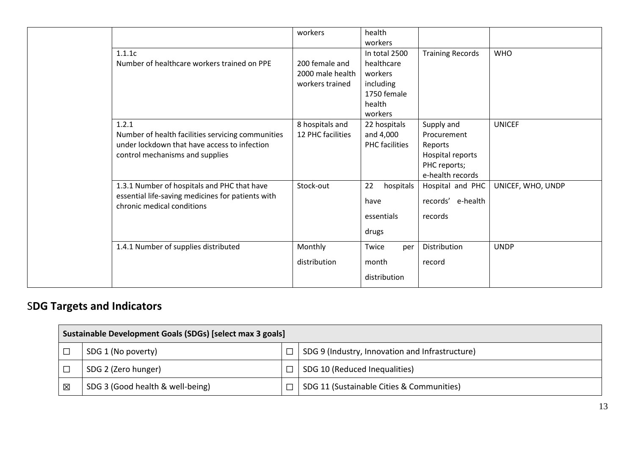|                                                   | workers           | health                |                         |                   |
|---------------------------------------------------|-------------------|-----------------------|-------------------------|-------------------|
|                                                   |                   | workers               |                         |                   |
| 1.1.1c                                            |                   | In total 2500         | <b>Training Records</b> | <b>WHO</b>        |
| Number of healthcare workers trained on PPE       | 200 female and    | healthcare            |                         |                   |
|                                                   | 2000 male health  | workers               |                         |                   |
|                                                   | workers trained   | including             |                         |                   |
|                                                   |                   | 1750 female           |                         |                   |
|                                                   |                   | health                |                         |                   |
|                                                   |                   | workers               |                         |                   |
| 1.2.1                                             | 8 hospitals and   | 22 hospitals          | Supply and              | <b>UNICEF</b>     |
| Number of health facilities servicing communities | 12 PHC facilities | and 4,000             | Procurement             |                   |
| under lockdown that have access to infection      |                   | <b>PHC</b> facilities | Reports                 |                   |
| control mechanisms and supplies                   |                   |                       | Hospital reports        |                   |
|                                                   |                   |                       | PHC reports;            |                   |
|                                                   |                   |                       | e-health records        |                   |
| 1.3.1 Number of hospitals and PHC that have       | Stock-out         | 22<br>hospitals       | Hospital and PHC        | UNICEF, WHO, UNDP |
| essential life-saving medicines for patients with |                   | have                  | records' e-health       |                   |
| chronic medical conditions                        |                   |                       |                         |                   |
|                                                   |                   | essentials            | records                 |                   |
|                                                   |                   | drugs                 |                         |                   |
|                                                   |                   |                       |                         |                   |
| 1.4.1 Number of supplies distributed              | Monthly           | Twice<br>per          | Distribution            | <b>UNDP</b>       |
|                                                   | distribution      | month                 | record                  |                   |
|                                                   |                   | distribution          |                         |                   |
|                                                   |                   |                       |                         |                   |

# S**DG Targets and Indicators**

|   | Sustainable Development Goals (SDGs) [select max 3 goals] |  |                                                 |  |  |  |  |
|---|-----------------------------------------------------------|--|-------------------------------------------------|--|--|--|--|
|   | SDG 1 (No poverty)                                        |  | SDG 9 (Industry, Innovation and Infrastructure) |  |  |  |  |
|   | SDG 2 (Zero hunger)                                       |  | SDG 10 (Reduced Inequalities)                   |  |  |  |  |
| 区 | SDG 3 (Good health & well-being)                          |  | SDG 11 (Sustainable Cities & Communities)       |  |  |  |  |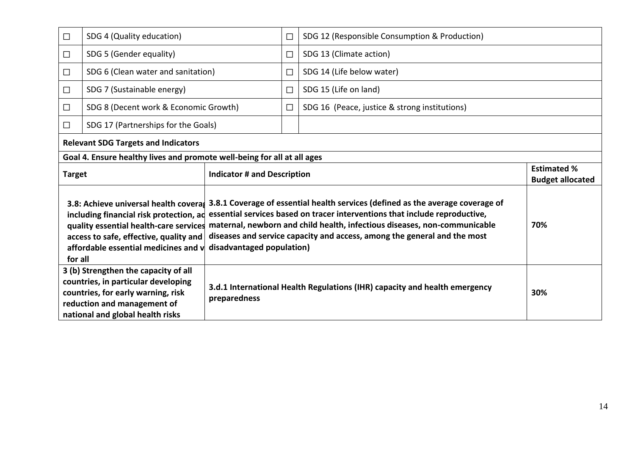| $\Box$        | SDG 4 (Quality education)                                                                                                 |                                    | П      | SDG 12 (Responsible Consumption & Production)                                                                                                                                                                                                                                                                                                                                                        |                                |
|---------------|---------------------------------------------------------------------------------------------------------------------------|------------------------------------|--------|------------------------------------------------------------------------------------------------------------------------------------------------------------------------------------------------------------------------------------------------------------------------------------------------------------------------------------------------------------------------------------------------------|--------------------------------|
| $\Box$        | SDG 5 (Gender equality)                                                                                                   |                                    | $\Box$ | SDG 13 (Climate action)                                                                                                                                                                                                                                                                                                                                                                              |                                |
| $\Box$        | SDG 6 (Clean water and sanitation)                                                                                        |                                    | П      | SDG 14 (Life below water)                                                                                                                                                                                                                                                                                                                                                                            |                                |
| $\Box$        | SDG 7 (Sustainable energy)                                                                                                |                                    | $\Box$ | SDG 15 (Life on land)                                                                                                                                                                                                                                                                                                                                                                                |                                |
| $\Box$        | SDG 8 (Decent work & Economic Growth)                                                                                     |                                    | П      | SDG 16 (Peace, justice & strong institutions)                                                                                                                                                                                                                                                                                                                                                        |                                |
| $\Box$        | SDG 17 (Partnerships for the Goals)                                                                                       |                                    |        |                                                                                                                                                                                                                                                                                                                                                                                                      |                                |
|               | <b>Relevant SDG Targets and Indicators</b>                                                                                |                                    |        |                                                                                                                                                                                                                                                                                                                                                                                                      |                                |
|               | Goal 4. Ensure healthy lives and promote well-being for all at all ages                                                   |                                    |        |                                                                                                                                                                                                                                                                                                                                                                                                      |                                |
| <b>Target</b> |                                                                                                                           | <b>Indicator # and Description</b> |        |                                                                                                                                                                                                                                                                                                                                                                                                      | <b>Estimated %</b>             |
|               |                                                                                                                           |                                    |        |                                                                                                                                                                                                                                                                                                                                                                                                      |                                |
| for all       | including financial risk protection, ad<br>access to safe, effective, quality and<br>affordable essential medicines and v | disadvantaged population)          |        | 3.8: Achieve universal health coveras 3.8.1 Coverage of essential health services (defined as the average coverage of<br>essential services based on tracer interventions that include reproductive,<br>quality essential health-care services maternal, newborn and child health, infectious diseases, non-communicable<br>diseases and service capacity and access, among the general and the most | <b>Budget allocated</b><br>70% |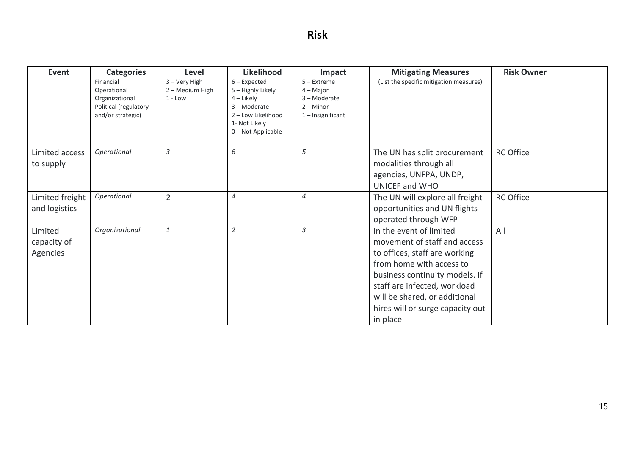# **Risk**

| Event                            | <b>Categories</b>                                                                        | <b>Level</b>                                  | Likelihood                                                                                                                   | Impact                                                                           | <b>Mitigating Measures</b>                                      | <b>Risk Owner</b> |  |
|----------------------------------|------------------------------------------------------------------------------------------|-----------------------------------------------|------------------------------------------------------------------------------------------------------------------------------|----------------------------------------------------------------------------------|-----------------------------------------------------------------|-------------------|--|
|                                  | Financial<br>Operational<br>Organizational<br>Political (regulatory<br>and/or strategic) | 3 - Very High<br>2 – Medium High<br>$1 - Low$ | $6$ – Expected<br>5 - Highly Likely<br>$4$ – Likely<br>3-Moderate<br>2 - Low Likelihood<br>1- Not Likely<br>0-Not Applicable | $5 -$ Extreme<br>$4 -$ Major<br>3-Moderate<br>$2 -$ Minor<br>$1$ – Insignificant | (List the specific mitigation measures)                         |                   |  |
| Limited access                   | Operational                                                                              | $\overline{3}$                                | 6                                                                                                                            | 5                                                                                | The UN has split procurement                                    | <b>RC Office</b>  |  |
| to supply                        |                                                                                          |                                               |                                                                                                                              |                                                                                  | modalities through all                                          |                   |  |
|                                  |                                                                                          |                                               |                                                                                                                              |                                                                                  | agencies, UNFPA, UNDP,                                          |                   |  |
|                                  | Operational                                                                              |                                               | $\overline{4}$                                                                                                               | $\overline{4}$                                                                   | <b>UNICEF and WHO</b>                                           |                   |  |
| Limited freight<br>and logistics |                                                                                          | $\overline{2}$                                |                                                                                                                              |                                                                                  | The UN will explore all freight<br>opportunities and UN flights | <b>RC Office</b>  |  |
|                                  |                                                                                          |                                               |                                                                                                                              |                                                                                  | operated through WFP                                            |                   |  |
| Limited                          | Organizational                                                                           | $1\,$                                         | $\overline{2}$                                                                                                               | 3                                                                                | In the event of limited                                         | All               |  |
| capacity of                      |                                                                                          |                                               |                                                                                                                              |                                                                                  | movement of staff and access                                    |                   |  |
| Agencies                         |                                                                                          |                                               |                                                                                                                              |                                                                                  | to offices, staff are working                                   |                   |  |
|                                  |                                                                                          |                                               |                                                                                                                              |                                                                                  | from home with access to                                        |                   |  |
|                                  |                                                                                          |                                               |                                                                                                                              |                                                                                  | business continuity models. If                                  |                   |  |
|                                  |                                                                                          |                                               |                                                                                                                              |                                                                                  | staff are infected, workload                                    |                   |  |
|                                  |                                                                                          |                                               |                                                                                                                              |                                                                                  | will be shared, or additional                                   |                   |  |
|                                  |                                                                                          |                                               |                                                                                                                              |                                                                                  | hires will or surge capacity out                                |                   |  |
|                                  |                                                                                          |                                               |                                                                                                                              |                                                                                  | in place                                                        |                   |  |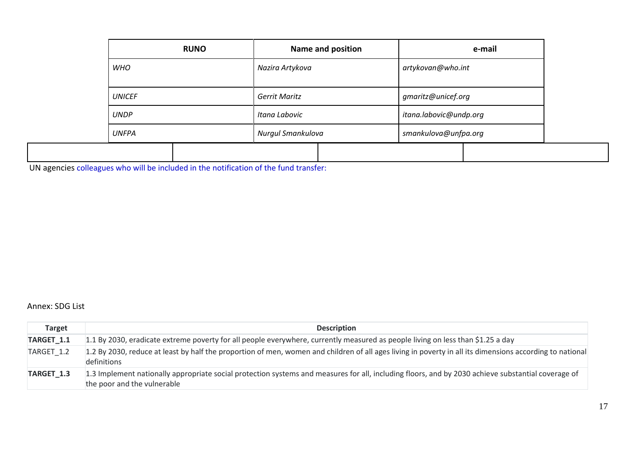|               | <b>RUNO</b> |                      | <b>Name and position</b> | e-mail                 |  |  |
|---------------|-------------|----------------------|--------------------------|------------------------|--|--|
| <b>WHO</b>    |             | Nazira Artykova      |                          | artykovan@who.int      |  |  |
| <b>UNICEF</b> |             | <b>Gerrit Maritz</b> |                          | gmaritz@unicef.org     |  |  |
| <b>UNDP</b>   |             | Itana Labovic        |                          | itana.labovic@undp.org |  |  |
| <b>UNFPA</b>  |             | Nurgul Smankulova    |                          | smankulova@unfpa.org   |  |  |
|               |             |                      |                          |                        |  |  |

UN agencies colleagues who will be included in the notification of the fund transfer:

### Annex: SDG List

| <b>Target</b>         | <b>Description</b>                                                                                                                                                                |
|-----------------------|-----------------------------------------------------------------------------------------------------------------------------------------------------------------------------------|
| TARGET <sub>1.1</sub> | 1.1 By 2030, eradicate extreme poverty for all people everywhere, currently measured as people living on less than \$1.25 a day                                                   |
| TARGET 1.2            | 1.2 By 2030, reduce at least by half the proportion of men, women and children of all ages living in poverty in all its dimensions according to national<br>definitions           |
| TARGET <sub>1.3</sub> | 1.3 Implement nationally appropriate social protection systems and measures for all, including floors, and by 2030 achieve substantial coverage of<br>the poor and the vulnerable |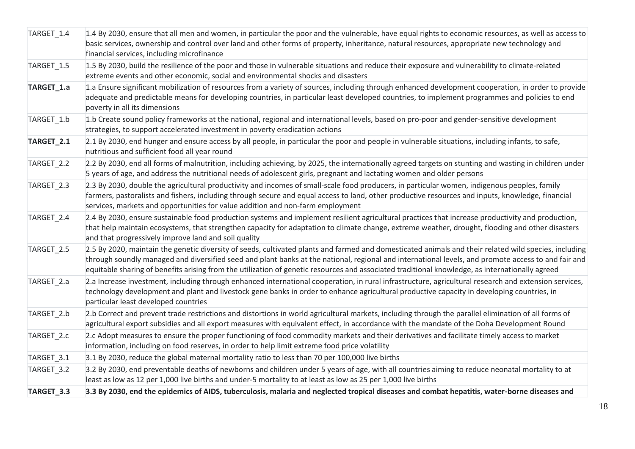| TARGET_1.4 | 1.4 By 2030, ensure that all men and women, in particular the poor and the vulnerable, have equal rights to economic resources, as well as access to<br>basic services, ownership and control over land and other forms of property, inheritance, natural resources, appropriate new technology and<br>financial services, including microfinance                                                                                                               |
|------------|-----------------------------------------------------------------------------------------------------------------------------------------------------------------------------------------------------------------------------------------------------------------------------------------------------------------------------------------------------------------------------------------------------------------------------------------------------------------|
| TARGET_1.5 | 1.5 By 2030, build the resilience of the poor and those in vulnerable situations and reduce their exposure and vulnerability to climate-related<br>extreme events and other economic, social and environmental shocks and disasters                                                                                                                                                                                                                             |
| TARGET_1.a | 1.a Ensure significant mobilization of resources from a variety of sources, including through enhanced development cooperation, in order to provide<br>adequate and predictable means for developing countries, in particular least developed countries, to implement programmes and policies to end<br>poverty in all its dimensions                                                                                                                           |
| TARGET_1.b | 1.b Create sound policy frameworks at the national, regional and international levels, based on pro-poor and gender-sensitive development<br>strategies, to support accelerated investment in poverty eradication actions                                                                                                                                                                                                                                       |
| TARGET_2.1 | 2.1 By 2030, end hunger and ensure access by all people, in particular the poor and people in vulnerable situations, including infants, to safe,<br>nutritious and sufficient food all year round                                                                                                                                                                                                                                                               |
| TARGET_2.2 | 2.2 By 2030, end all forms of malnutrition, including achieving, by 2025, the internationally agreed targets on stunting and wasting in children under<br>5 years of age, and address the nutritional needs of adolescent girls, pregnant and lactating women and older persons                                                                                                                                                                                 |
| TARGET_2.3 | 2.3 By 2030, double the agricultural productivity and incomes of small-scale food producers, in particular women, indigenous peoples, family<br>farmers, pastoralists and fishers, including through secure and equal access to land, other productive resources and inputs, knowledge, financial<br>services, markets and opportunities for value addition and non-farm employment                                                                             |
| TARGET_2.4 | 2.4 By 2030, ensure sustainable food production systems and implement resilient agricultural practices that increase productivity and production,<br>that help maintain ecosystems, that strengthen capacity for adaptation to climate change, extreme weather, drought, flooding and other disasters<br>and that progressively improve land and soil quality                                                                                                   |
| TARGET_2.5 | 2.5 By 2020, maintain the genetic diversity of seeds, cultivated plants and farmed and domesticated animals and their related wild species, including<br>through soundly managed and diversified seed and plant banks at the national, regional and international levels, and promote access to and fair and<br>equitable sharing of benefits arising from the utilization of genetic resources and associated traditional knowledge, as internationally agreed |
| TARGET_2.a | 2.a Increase investment, including through enhanced international cooperation, in rural infrastructure, agricultural research and extension services,<br>technology development and plant and livestock gene banks in order to enhance agricultural productive capacity in developing countries, in<br>particular least developed countries                                                                                                                     |
| TARGET_2.b | 2.b Correct and prevent trade restrictions and distortions in world agricultural markets, including through the parallel elimination of all forms of<br>agricultural export subsidies and all export measures with equivalent effect, in accordance with the mandate of the Doha Development Round                                                                                                                                                              |
| TARGET_2.c | 2.c Adopt measures to ensure the proper functioning of food commodity markets and their derivatives and facilitate timely access to market<br>information, including on food reserves, in order to help limit extreme food price volatility                                                                                                                                                                                                                     |
| TARGET_3.1 | 3.1 By 2030, reduce the global maternal mortality ratio to less than 70 per 100,000 live births                                                                                                                                                                                                                                                                                                                                                                 |
| TARGET_3.2 | 3.2 By 2030, end preventable deaths of newborns and children under 5 years of age, with all countries aiming to reduce neonatal mortality to at<br>least as low as 12 per 1,000 live births and under-5 mortality to at least as low as 25 per 1,000 live births                                                                                                                                                                                                |
| TARGET_3.3 | 3.3 By 2030, end the epidemics of AIDS, tuberculosis, malaria and neglected tropical diseases and combat hepatitis, water-borne diseases and                                                                                                                                                                                                                                                                                                                    |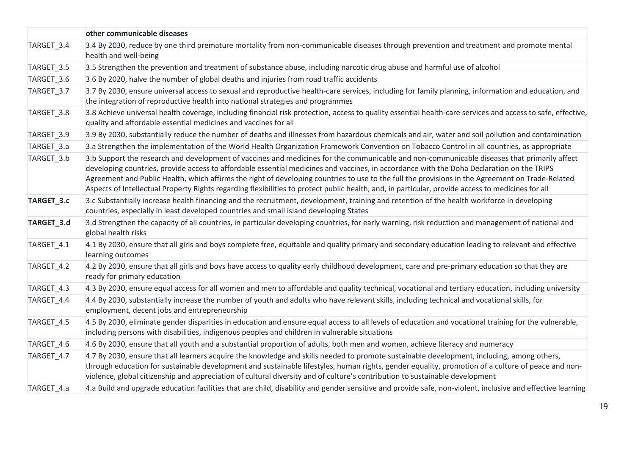|            | other communicable diseases                                                                                                                                                                                                                                                                                                                                                                                                                                                                                                                                                                       |
|------------|---------------------------------------------------------------------------------------------------------------------------------------------------------------------------------------------------------------------------------------------------------------------------------------------------------------------------------------------------------------------------------------------------------------------------------------------------------------------------------------------------------------------------------------------------------------------------------------------------|
| TARGET_3.4 | 3.4 By 2030, reduce by one third premature mortality from non-communicable diseases through prevention and treatment and promote mental<br>health and well-being                                                                                                                                                                                                                                                                                                                                                                                                                                  |
| TARGET_3.5 | 3.5 Strengthen the prevention and treatment of substance abuse, including narcotic drug abuse and harmful use of alcohol                                                                                                                                                                                                                                                                                                                                                                                                                                                                          |
| TARGET_3.6 | 3.6 By 2020, halve the number of global deaths and injuries from road traffic accidents                                                                                                                                                                                                                                                                                                                                                                                                                                                                                                           |
| TARGET_3.7 | 3.7 By 2030, ensure universal access to sexual and reproductive health-care services, including for family planning, information and education, and<br>the integration of reproductive health into national strategies and programmes                                                                                                                                                                                                                                                                                                                                                             |
| TARGET_3.8 | 3.8 Achieve universal health coverage, including financial risk protection, access to quality essential health-care services and access to safe, effective,<br>quality and affordable essential medicines and vaccines for all                                                                                                                                                                                                                                                                                                                                                                    |
| TARGET 3.9 | 3.9 By 2030, substantially reduce the number of deaths and illnesses from hazardous chemicals and air, water and soil pollution and contamination                                                                                                                                                                                                                                                                                                                                                                                                                                                 |
| TARGET_3.a | 3.a Strengthen the implementation of the World Health Organization Framework Convention on Tobacco Control in all countries, as appropriate                                                                                                                                                                                                                                                                                                                                                                                                                                                       |
| TARGET_3.b | 3.b Support the research and development of vaccines and medicines for the communicable and non-communicable diseases that primarily affect<br>developing countries, provide access to affordable essential medicines and vaccines, in accordance with the Doha Declaration on the TRIPS<br>Agreement and Public Health, which affirms the right of developing countries to use to the full the provisions in the Agreement on Trade-Related<br>Aspects of Intellectual Property Rights regarding flexibilities to protect public health, and, in particular, provide access to medicines for all |
| TARGET_3.c | 3.c Substantially increase health financing and the recruitment, development, training and retention of the health workforce in developing<br>countries, especially in least developed countries and small island developing States                                                                                                                                                                                                                                                                                                                                                               |
| TARGET_3.d | 3.d Strengthen the capacity of all countries, in particular developing countries, for early warning, risk reduction and management of national and<br>global health risks                                                                                                                                                                                                                                                                                                                                                                                                                         |
| TARGET_4.1 | 4.1 By 2030, ensure that all girls and boys complete free, equitable and quality primary and secondary education leading to relevant and effective<br>learning outcomes                                                                                                                                                                                                                                                                                                                                                                                                                           |
| TARGET_4.2 | 4.2 By 2030, ensure that all girls and boys have access to quality early childhood development, care and pre-primary education so that they are<br>ready for primary education                                                                                                                                                                                                                                                                                                                                                                                                                    |
| TARGET_4.3 | 4.3 By 2030, ensure equal access for all women and men to affordable and quality technical, vocational and tertiary education, including university                                                                                                                                                                                                                                                                                                                                                                                                                                               |
| TARGET_4.4 | 4.4 By 2030, substantially increase the number of youth and adults who have relevant skills, including technical and vocational skills, for<br>employment, decent jobs and entrepreneurship                                                                                                                                                                                                                                                                                                                                                                                                       |
| TARGET_4.5 | 4.5 By 2030, eliminate gender disparities in education and ensure equal access to all levels of education and vocational training for the vulnerable,<br>including persons with disabilities, indigenous peoples and children in vulnerable situations                                                                                                                                                                                                                                                                                                                                            |
| TARGET_4.6 | 4.6 By 2030, ensure that all youth and a substantial proportion of adults, both men and women, achieve literacy and numeracy                                                                                                                                                                                                                                                                                                                                                                                                                                                                      |
| TARGET_4.7 | 4.7 By 2030, ensure that all learners acquire the knowledge and skills needed to promote sustainable development, including, among others,<br>through education for sustainable development and sustainable lifestyles, human rights, gender equality, promotion of a culture of peace and non-<br>violence, global citizenship and appreciation of cultural diversity and of culture's contribution to sustainable development                                                                                                                                                                   |
| TARGET_4.a | 4.a Build and upgrade education facilities that are child, disability and gender sensitive and provide safe, non-violent, inclusive and effective learning                                                                                                                                                                                                                                                                                                                                                                                                                                        |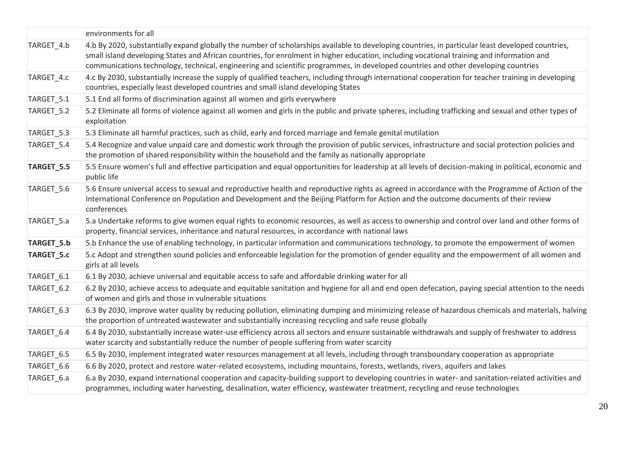|            | environments for all                                                                                                                                                                                                                                                                                                                                                                                                                  |
|------------|---------------------------------------------------------------------------------------------------------------------------------------------------------------------------------------------------------------------------------------------------------------------------------------------------------------------------------------------------------------------------------------------------------------------------------------|
| TARGET_4.b | 4.b By 2020, substantially expand globally the number of scholarships available to developing countries, in particular least developed countries,<br>small island developing States and African countries, for enrolment in higher education, including vocational training and information and<br>communications technology, technical, engineering and scientific programmes, in developed countries and other developing countries |
| TARGET 4.c | 4.c By 2030, substantially increase the supply of qualified teachers, including through international cooperation for teacher training in developing<br>countries, especially least developed countries and small island developing States                                                                                                                                                                                            |
| TARGET_5.1 | 5.1 End all forms of discrimination against all women and girls everywhere                                                                                                                                                                                                                                                                                                                                                            |
| TARGET_5.2 | 5.2 Eliminate all forms of violence against all women and girls in the public and private spheres, including trafficking and sexual and other types of<br>exploitation                                                                                                                                                                                                                                                                |
| TARGET_5.3 | 5.3 Eliminate all harmful practices, such as child, early and forced marriage and female genital mutilation                                                                                                                                                                                                                                                                                                                           |
| TARGET_5.4 | 5.4 Recognize and value unpaid care and domestic work through the provision of public services, infrastructure and social protection policies and<br>the promotion of shared responsibility within the household and the family as nationally appropriate                                                                                                                                                                             |
| TARGET_5.5 | 5.5 Ensure women's full and effective participation and equal opportunities for leadership at all levels of decision-making in political, economic and<br>public life                                                                                                                                                                                                                                                                 |
| TARGET_5.6 | 5.6 Ensure universal access to sexual and reproductive health and reproductive rights as agreed in accordance with the Programme of Action of the<br>International Conference on Population and Development and the Beijing Platform for Action and the outcome documents of their review<br>conferences                                                                                                                              |
| TARGET_5.a | 5.a Undertake reforms to give women equal rights to economic resources, as well as access to ownership and control over land and other forms of<br>property, financial services, inheritance and natural resources, in accordance with national laws                                                                                                                                                                                  |
| TARGET_5.b | 5.b Enhance the use of enabling technology, in particular information and communications technology, to promote the empowerment of women                                                                                                                                                                                                                                                                                              |
| TARGET_5.c | 5.c Adopt and strengthen sound policies and enforceable legislation for the promotion of gender equality and the empowerment of all women and<br>girls at all levels                                                                                                                                                                                                                                                                  |
| TARGET_6.1 | 6.1 By 2030, achieve universal and equitable access to safe and affordable drinking water for all                                                                                                                                                                                                                                                                                                                                     |
| TARGET_6.2 | 6.2 By 2030, achieve access to adequate and equitable sanitation and hygiene for all and end open defecation, paying special attention to the needs<br>of women and girls and those in vulnerable situations                                                                                                                                                                                                                          |
| TARGET_6.3 | 6.3 By 2030, improve water quality by reducing pollution, eliminating dumping and minimizing release of hazardous chemicals and materials, halving<br>the proportion of untreated wastewater and substantially increasing recycling and safe reuse globally                                                                                                                                                                           |
| TARGET_6.4 | 6.4 By 2030, substantially increase water-use efficiency across all sectors and ensure sustainable withdrawals and supply of freshwater to address<br>water scarcity and substantially reduce the number of people suffering from water scarcity                                                                                                                                                                                      |
| TARGET_6.5 | 6.5 By 2030, implement integrated water resources management at all levels, including through transboundary cooperation as appropriate                                                                                                                                                                                                                                                                                                |
| TARGET_6.6 | 6.6 By 2020, protect and restore water-related ecosystems, including mountains, forests, wetlands, rivers, aquifers and lakes                                                                                                                                                                                                                                                                                                         |
| TARGET_6.a | 6.a By 2030, expand international cooperation and capacity-building support to developing countries in water- and sanitation-related activities and<br>programmes, including water harvesting, desalination, water efficiency, wastewater treatment, recycling and reuse technologies                                                                                                                                                 |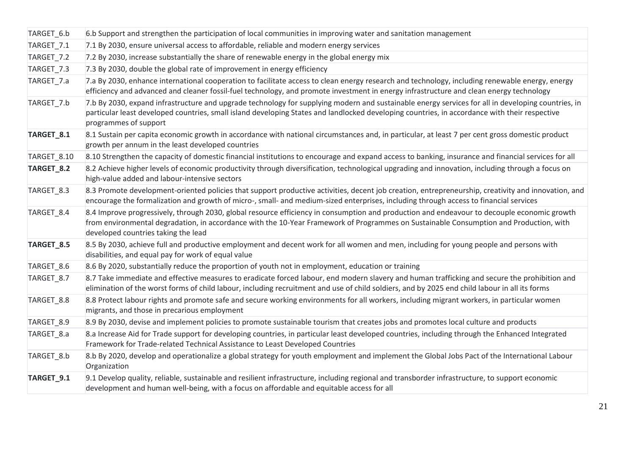| TARGET_6.b  | 6.b Support and strengthen the participation of local communities in improving water and sanitation management                                                                                                                                                                                                               |
|-------------|------------------------------------------------------------------------------------------------------------------------------------------------------------------------------------------------------------------------------------------------------------------------------------------------------------------------------|
| TARGET_7.1  | 7.1 By 2030, ensure universal access to affordable, reliable and modern energy services                                                                                                                                                                                                                                      |
| TARGET_7.2  | 7.2 By 2030, increase substantially the share of renewable energy in the global energy mix                                                                                                                                                                                                                                   |
| TARGET_7.3  | 7.3 By 2030, double the global rate of improvement in energy efficiency                                                                                                                                                                                                                                                      |
| TARGET_7.a  | 7.a By 2030, enhance international cooperation to facilitate access to clean energy research and technology, including renewable energy, energy<br>efficiency and advanced and cleaner fossil-fuel technology, and promote investment in energy infrastructure and clean energy technology                                   |
| TARGET_7.b  | 7.b By 2030, expand infrastructure and upgrade technology for supplying modern and sustainable energy services for all in developing countries, in<br>particular least developed countries, small island developing States and landlocked developing countries, in accordance with their respective<br>programmes of support |
| TARGET_8.1  | 8.1 Sustain per capita economic growth in accordance with national circumstances and, in particular, at least 7 per cent gross domestic product<br>growth per annum in the least developed countries                                                                                                                         |
| TARGET_8.10 | 8.10 Strengthen the capacity of domestic financial institutions to encourage and expand access to banking, insurance and financial services for all                                                                                                                                                                          |
| TARGET_8.2  | 8.2 Achieve higher levels of economic productivity through diversification, technological upgrading and innovation, including through a focus on<br>high-value added and labour-intensive sectors                                                                                                                            |
| TARGET_8.3  | 8.3 Promote development-oriented policies that support productive activities, decent job creation, entrepreneurship, creativity and innovation, and<br>encourage the formalization and growth of micro-, small- and medium-sized enterprises, including through access to financial services                                 |
| TARGET_8.4  | 8.4 Improve progressively, through 2030, global resource efficiency in consumption and production and endeavour to decouple economic growth<br>from environmental degradation, in accordance with the 10-Year Framework of Programmes on Sustainable Consumption and Production, with<br>developed countries taking the lead |
| TARGET_8.5  | 8.5 By 2030, achieve full and productive employment and decent work for all women and men, including for young people and persons with<br>disabilities, and equal pay for work of equal value                                                                                                                                |
| TARGET_8.6  | 8.6 By 2020, substantially reduce the proportion of youth not in employment, education or training                                                                                                                                                                                                                           |
| TARGET_8.7  | 8.7 Take immediate and effective measures to eradicate forced labour, end modern slavery and human trafficking and secure the prohibition and<br>elimination of the worst forms of child labour, including recruitment and use of child soldiers, and by 2025 end child labour in all its forms                              |
| TARGET_8.8  | 8.8 Protect labour rights and promote safe and secure working environments for all workers, including migrant workers, in particular women<br>migrants, and those in precarious employment                                                                                                                                   |
| TARGET_8.9  | 8.9 By 2030, devise and implement policies to promote sustainable tourism that creates jobs and promotes local culture and products                                                                                                                                                                                          |
| TARGET_8.a  | 8.a Increase Aid for Trade support for developing countries, in particular least developed countries, including through the Enhanced Integrated<br>Framework for Trade-related Technical Assistance to Least Developed Countries                                                                                             |
| TARGET_8.b  | 8.b By 2020, develop and operationalize a global strategy for youth employment and implement the Global Jobs Pact of the International Labour<br>Organization                                                                                                                                                                |
| TARGET_9.1  | 9.1 Develop quality, reliable, sustainable and resilient infrastructure, including regional and transborder infrastructure, to support economic<br>development and human well-being, with a focus on affordable and equitable access for all                                                                                 |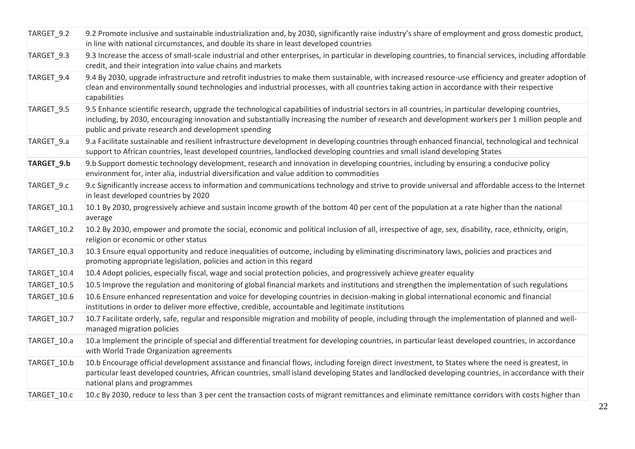| TARGET_9.2  | 9.2 Promote inclusive and sustainable industrialization and, by 2030, significantly raise industry's share of employment and gross domestic product,<br>in line with national circumstances, and double its share in least developed countries                                                                                                                 |
|-------------|----------------------------------------------------------------------------------------------------------------------------------------------------------------------------------------------------------------------------------------------------------------------------------------------------------------------------------------------------------------|
| TARGET_9.3  | 9.3 Increase the access of small-scale industrial and other enterprises, in particular in developing countries, to financial services, including affordable<br>credit, and their integration into value chains and markets                                                                                                                                     |
| TARGET_9.4  | 9.4 By 2030, upgrade infrastructure and retrofit industries to make them sustainable, with increased resource-use efficiency and greater adoption of<br>clean and environmentally sound technologies and industrial processes, with all countries taking action in accordance with their respective<br>capabilities                                            |
| TARGET_9.5  | 9.5 Enhance scientific research, upgrade the technological capabilities of industrial sectors in all countries, in particular developing countries,<br>including, by 2030, encouraging innovation and substantially increasing the number of research and development workers per 1 million people and<br>public and private research and development spending |
| TARGET_9.a  | 9.a Facilitate sustainable and resilient infrastructure development in developing countries through enhanced financial, technological and technical<br>support to African countries, least developed countries, landlocked developing countries and small island developing States                                                                             |
| TARGET_9.b  | 9.b Support domestic technology development, research and innovation in developing countries, including by ensuring a conducive policy<br>environment for, inter alia, industrial diversification and value addition to commodities                                                                                                                            |
| TARGET_9.c  | 9.c Significantly increase access to information and communications technology and strive to provide universal and affordable access to the Internet<br>in least developed countries by 2020                                                                                                                                                                   |
| TARGET_10.1 | 10.1 By 2030, progressively achieve and sustain income growth of the bottom 40 per cent of the population at a rate higher than the national<br>average                                                                                                                                                                                                        |
| TARGET_10.2 | 10.2 By 2030, empower and promote the social, economic and political inclusion of all, irrespective of age, sex, disability, race, ethnicity, origin,<br>religion or economic or other status                                                                                                                                                                  |
| TARGET_10.3 | 10.3 Ensure equal opportunity and reduce inequalities of outcome, including by eliminating discriminatory laws, policies and practices and<br>promoting appropriate legislation, policies and action in this regard                                                                                                                                            |
| TARGET_10.4 | 10.4 Adopt policies, especially fiscal, wage and social protection policies, and progressively achieve greater equality                                                                                                                                                                                                                                        |
| TARGET_10.5 | 10.5 Improve the regulation and monitoring of global financial markets and institutions and strengthen the implementation of such regulations                                                                                                                                                                                                                  |
| TARGET_10.6 | 10.6 Ensure enhanced representation and voice for developing countries in decision-making in global international economic and financial<br>institutions in order to deliver more effective, credible, accountable and legitimate institutions                                                                                                                 |
| TARGET_10.7 | 10.7 Facilitate orderly, safe, regular and responsible migration and mobility of people, including through the implementation of planned and well-<br>managed migration policies                                                                                                                                                                               |
| TARGET_10.a | 10.a Implement the principle of special and differential treatment for developing countries, in particular least developed countries, in accordance<br>with World Trade Organization agreements                                                                                                                                                                |
| TARGET_10.b | 10.b Encourage official development assistance and financial flows, including foreign direct investment, to States where the need is greatest, in<br>particular least developed countries, African countries, small island developing States and landlocked developing countries, in accordance with their<br>national plans and programmes                    |
| TARGET 10.c | 10.c By 2030, reduce to less than 3 per cent the transaction costs of migrant remittances and eliminate remittance corridors with costs higher than                                                                                                                                                                                                            |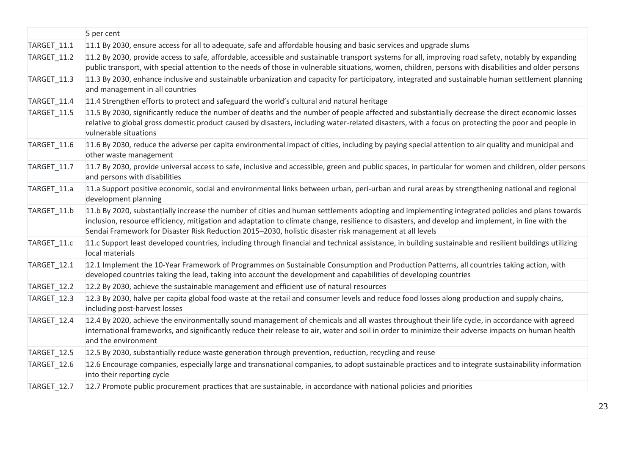|                    | 5 per cent                                                                                                                                                                                                                                                                                                                                                                                                      |
|--------------------|-----------------------------------------------------------------------------------------------------------------------------------------------------------------------------------------------------------------------------------------------------------------------------------------------------------------------------------------------------------------------------------------------------------------|
| TARGET_11.1        | 11.1 By 2030, ensure access for all to adequate, safe and affordable housing and basic services and upgrade slums                                                                                                                                                                                                                                                                                               |
| <b>TARGET_11.2</b> | 11.2 By 2030, provide access to safe, affordable, accessible and sustainable transport systems for all, improving road safety, notably by expanding<br>public transport, with special attention to the needs of those in vulnerable situations, women, children, persons with disabilities and older persons                                                                                                    |
| TARGET_11.3        | 11.3 By 2030, enhance inclusive and sustainable urbanization and capacity for participatory, integrated and sustainable human settlement planning<br>and management in all countries                                                                                                                                                                                                                            |
| TARGET_11.4        | 11.4 Strengthen efforts to protect and safeguard the world's cultural and natural heritage                                                                                                                                                                                                                                                                                                                      |
| TARGET_11.5        | 11.5 By 2030, significantly reduce the number of deaths and the number of people affected and substantially decrease the direct economic losses<br>relative to global gross domestic product caused by disasters, including water-related disasters, with a focus on protecting the poor and people in<br>vulnerable situations                                                                                 |
| TARGET_11.6        | 11.6 By 2030, reduce the adverse per capita environmental impact of cities, including by paying special attention to air quality and municipal and<br>other waste management                                                                                                                                                                                                                                    |
| TARGET_11.7        | 11.7 By 2030, provide universal access to safe, inclusive and accessible, green and public spaces, in particular for women and children, older persons<br>and persons with disabilities                                                                                                                                                                                                                         |
| TARGET_11.a        | 11.a Support positive economic, social and environmental links between urban, peri-urban and rural areas by strengthening national and regional<br>development planning                                                                                                                                                                                                                                         |
| TARGET_11.b        | 11.b By 2020, substantially increase the number of cities and human settlements adopting and implementing integrated policies and plans towards<br>inclusion, resource efficiency, mitigation and adaptation to climate change, resilience to disasters, and develop and implement, in line with the<br>Sendai Framework for Disaster Risk Reduction 2015-2030, holistic disaster risk management at all levels |
| TARGET_11.c        | 11.c Support least developed countries, including through financial and technical assistance, in building sustainable and resilient buildings utilizing<br>local materials                                                                                                                                                                                                                                      |
| TARGET_12.1        | 12.1 Implement the 10-Year Framework of Programmes on Sustainable Consumption and Production Patterns, all countries taking action, with<br>developed countries taking the lead, taking into account the development and capabilities of developing countries                                                                                                                                                   |
| <b>TARGET_12.2</b> | 12.2 By 2030, achieve the sustainable management and efficient use of natural resources                                                                                                                                                                                                                                                                                                                         |
| TARGET_12.3        | 12.3 By 2030, halve per capita global food waste at the retail and consumer levels and reduce food losses along production and supply chains,<br>including post-harvest losses                                                                                                                                                                                                                                  |
| TARGET_12.4        | 12.4 By 2020, achieve the environmentally sound management of chemicals and all wastes throughout their life cycle, in accordance with agreed<br>international frameworks, and significantly reduce their release to air, water and soil in order to minimize their adverse impacts on human health<br>and the environment                                                                                      |
| TARGET_12.5        | 12.5 By 2030, substantially reduce waste generation through prevention, reduction, recycling and reuse                                                                                                                                                                                                                                                                                                          |
| TARGET_12.6        | 12.6 Encourage companies, especially large and transnational companies, to adopt sustainable practices and to integrate sustainability information<br>into their reporting cycle                                                                                                                                                                                                                                |
| TARGET_12.7        | 12.7 Promote public procurement practices that are sustainable, in accordance with national policies and priorities                                                                                                                                                                                                                                                                                             |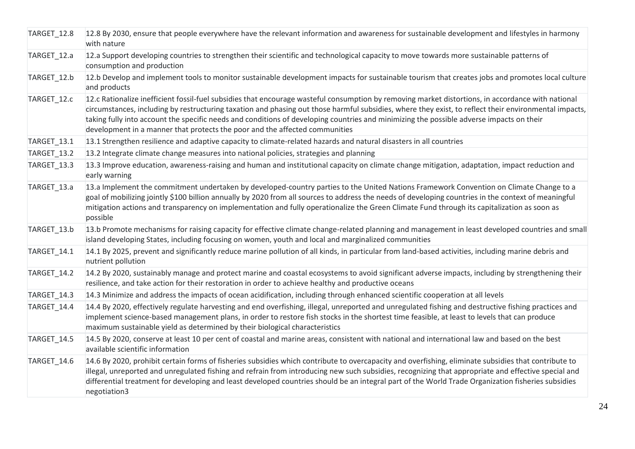| TARGET_12.8 | 12.8 By 2030, ensure that people everywhere have the relevant information and awareness for sustainable development and lifestyles in harmony<br>with nature                                                                                                                                                                                                                                                                                                                                                                           |
|-------------|----------------------------------------------------------------------------------------------------------------------------------------------------------------------------------------------------------------------------------------------------------------------------------------------------------------------------------------------------------------------------------------------------------------------------------------------------------------------------------------------------------------------------------------|
| TARGET_12.a | 12.a Support developing countries to strengthen their scientific and technological capacity to move towards more sustainable patterns of<br>consumption and production                                                                                                                                                                                                                                                                                                                                                                 |
| TARGET 12.b | 12.b Develop and implement tools to monitor sustainable development impacts for sustainable tourism that creates jobs and promotes local culture<br>and products                                                                                                                                                                                                                                                                                                                                                                       |
| TARGET_12.c | 12.c Rationalize inefficient fossil-fuel subsidies that encourage wasteful consumption by removing market distortions, in accordance with national<br>circumstances, including by restructuring taxation and phasing out those harmful subsidies, where they exist, to reflect their environmental impacts,<br>taking fully into account the specific needs and conditions of developing countries and minimizing the possible adverse impacts on their<br>development in a manner that protects the poor and the affected communities |
| TARGET_13.1 | 13.1 Strengthen resilience and adaptive capacity to climate-related hazards and natural disasters in all countries                                                                                                                                                                                                                                                                                                                                                                                                                     |
| TARGET_13.2 | 13.2 Integrate climate change measures into national policies, strategies and planning                                                                                                                                                                                                                                                                                                                                                                                                                                                 |
| TARGET_13.3 | 13.3 Improve education, awareness-raising and human and institutional capacity on climate change mitigation, adaptation, impact reduction and<br>early warning                                                                                                                                                                                                                                                                                                                                                                         |
| TARGET_13.a | 13.a Implement the commitment undertaken by developed-country parties to the United Nations Framework Convention on Climate Change to a<br>goal of mobilizing jointly \$100 billion annually by 2020 from all sources to address the needs of developing countries in the context of meaningful<br>mitigation actions and transparency on implementation and fully operationalize the Green Climate Fund through its capitalization as soon as<br>possible                                                                             |
| TARGET_13.b | [13.b Promote mechanisms for raising capacity for effective climate change-related planning and management in least developed countries and small<br>island developing States, including focusing on women, youth and local and marginalized communities                                                                                                                                                                                                                                                                               |
| TARGET_14.1 | 14.1 By 2025, prevent and significantly reduce marine pollution of all kinds, in particular from land-based activities, including marine debris and<br>nutrient pollution                                                                                                                                                                                                                                                                                                                                                              |
| TARGET_14.2 | 14.2 By 2020, sustainably manage and protect marine and coastal ecosystems to avoid significant adverse impacts, including by strengthening their<br>resilience, and take action for their restoration in order to achieve healthy and productive oceans                                                                                                                                                                                                                                                                               |
| TARGET_14.3 | 14.3 Minimize and address the impacts of ocean acidification, including through enhanced scientific cooperation at all levels                                                                                                                                                                                                                                                                                                                                                                                                          |
| TARGET_14.4 | 14.4 By 2020, effectively regulate harvesting and end overfishing, illegal, unreported and unregulated fishing and destructive fishing practices and<br>implement science-based management plans, in order to restore fish stocks in the shortest time feasible, at least to levels that can produce<br>maximum sustainable yield as determined by their biological characteristics                                                                                                                                                    |
| TARGET_14.5 | 14.5 By 2020, conserve at least 10 per cent of coastal and marine areas, consistent with national and international law and based on the best<br>available scientific information                                                                                                                                                                                                                                                                                                                                                      |
| TARGET_14.6 | 14.6 By 2020, prohibit certain forms of fisheries subsidies which contribute to overcapacity and overfishing, eliminate subsidies that contribute to<br>illegal, unreported and unregulated fishing and refrain from introducing new such subsidies, recognizing that appropriate and effective special and<br>differential treatment for developing and least developed countries should be an integral part of the World Trade Organization fisheries subsidies<br>negotiation3                                                      |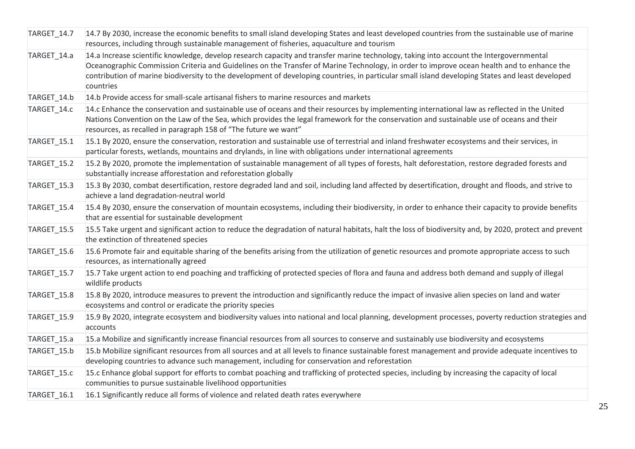| TARGET_14.7 | 14.7 By 2030, increase the economic benefits to small island developing States and least developed countries from the sustainable use of marine<br>resources, including through sustainable management of fisheries, aquaculture and tourism                                                                                                                                                                                                           |
|-------------|--------------------------------------------------------------------------------------------------------------------------------------------------------------------------------------------------------------------------------------------------------------------------------------------------------------------------------------------------------------------------------------------------------------------------------------------------------|
| TARGET_14.a | 14.a Increase scientific knowledge, develop research capacity and transfer marine technology, taking into account the Intergovernmental<br>Oceanographic Commission Criteria and Guidelines on the Transfer of Marine Technology, in order to improve ocean health and to enhance the<br>contribution of marine biodiversity to the development of developing countries, in particular small island developing States and least developed<br>countries |
| TARGET_14.b | 14.b Provide access for small-scale artisanal fishers to marine resources and markets                                                                                                                                                                                                                                                                                                                                                                  |
| TARGET_14.c | 14.c Enhance the conservation and sustainable use of oceans and their resources by implementing international law as reflected in the United<br>Nations Convention on the Law of the Sea, which provides the legal framework for the conservation and sustainable use of oceans and their<br>resources, as recalled in paragraph 158 of "The future we want"                                                                                           |
| TARGET_15.1 | 15.1 By 2020, ensure the conservation, restoration and sustainable use of terrestrial and inland freshwater ecosystems and their services, in<br>particular forests, wetlands, mountains and drylands, in line with obligations under international agreements                                                                                                                                                                                         |
| TARGET_15.2 | 15.2 By 2020, promote the implementation of sustainable management of all types of forests, halt deforestation, restore degraded forests and<br>substantially increase afforestation and reforestation globally                                                                                                                                                                                                                                        |
| TARGET_15.3 | 15.3 By 2030, combat desertification, restore degraded land and soil, including land affected by desertification, drought and floods, and strive to<br>achieve a land degradation-neutral world                                                                                                                                                                                                                                                        |
| TARGET_15.4 | 15.4 By 2030, ensure the conservation of mountain ecosystems, including their biodiversity, in order to enhance their capacity to provide benefits<br>that are essential for sustainable development                                                                                                                                                                                                                                                   |
| TARGET_15.5 | 15.5 Take urgent and significant action to reduce the degradation of natural habitats, halt the loss of biodiversity and, by 2020, protect and prevent<br>the extinction of threatened species                                                                                                                                                                                                                                                         |
| TARGET_15.6 | 15.6 Promote fair and equitable sharing of the benefits arising from the utilization of genetic resources and promote appropriate access to such<br>resources, as internationally agreed                                                                                                                                                                                                                                                               |
| TARGET_15.7 | 15.7 Take urgent action to end poaching and trafficking of protected species of flora and fauna and address both demand and supply of illegal<br>wildlife products                                                                                                                                                                                                                                                                                     |
| TARGET_15.8 | 15.8 By 2020, introduce measures to prevent the introduction and significantly reduce the impact of invasive alien species on land and water<br>ecosystems and control or eradicate the priority species                                                                                                                                                                                                                                               |
| TARGET_15.9 | 15.9 By 2020, integrate ecosystem and biodiversity values into national and local planning, development processes, poverty reduction strategies and<br>accounts                                                                                                                                                                                                                                                                                        |
| TARGET_15.a | 15.a Mobilize and significantly increase financial resources from all sources to conserve and sustainably use biodiversity and ecosystems                                                                                                                                                                                                                                                                                                              |
| TARGET_15.b | 15.b Mobilize significant resources from all sources and at all levels to finance sustainable forest management and provide adequate incentives to<br>developing countries to advance such management, including for conservation and reforestation                                                                                                                                                                                                    |
| TARGET_15.c | 15.c Enhance global support for efforts to combat poaching and trafficking of protected species, including by increasing the capacity of local<br>communities to pursue sustainable livelihood opportunities                                                                                                                                                                                                                                           |
| TARGET 16.1 | 16.1 Significantly reduce all forms of violence and related death rates everywhere                                                                                                                                                                                                                                                                                                                                                                     |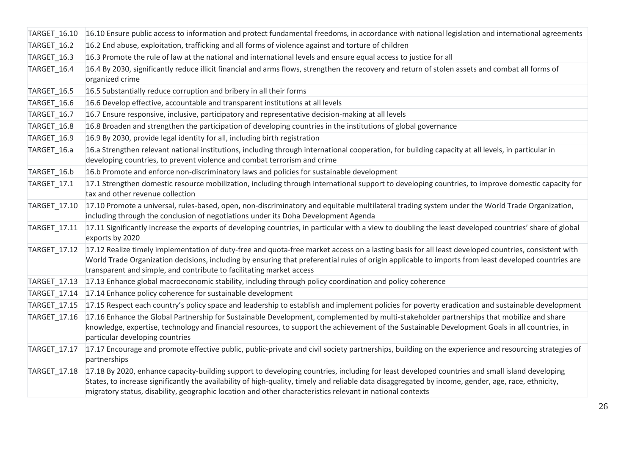| TARGET_16.10       | 16.10 Ensure public access to information and protect fundamental freedoms, in accordance with national legislation and international agreements                                                                                                                                                                                                                                                                  |
|--------------------|-------------------------------------------------------------------------------------------------------------------------------------------------------------------------------------------------------------------------------------------------------------------------------------------------------------------------------------------------------------------------------------------------------------------|
| <b>TARGET_16.2</b> | 16.2 End abuse, exploitation, trafficking and all forms of violence against and torture of children                                                                                                                                                                                                                                                                                                               |
| TARGET_16.3        | 16.3 Promote the rule of law at the national and international levels and ensure equal access to justice for all                                                                                                                                                                                                                                                                                                  |
| TARGET_16.4        | 16.4 By 2030, significantly reduce illicit financial and arms flows, strengthen the recovery and return of stolen assets and combat all forms of<br>organized crime                                                                                                                                                                                                                                               |
| TARGET_16.5        | 16.5 Substantially reduce corruption and bribery in all their forms                                                                                                                                                                                                                                                                                                                                               |
| TARGET_16.6        | 16.6 Develop effective, accountable and transparent institutions at all levels                                                                                                                                                                                                                                                                                                                                    |
| TARGET_16.7        | 16.7 Ensure responsive, inclusive, participatory and representative decision-making at all levels                                                                                                                                                                                                                                                                                                                 |
| TARGET_16.8        | 16.8 Broaden and strengthen the participation of developing countries in the institutions of global governance                                                                                                                                                                                                                                                                                                    |
| <b>TARGET_16.9</b> | 16.9 By 2030, provide legal identity for all, including birth registration                                                                                                                                                                                                                                                                                                                                        |
| TARGET_16.a        | 16.a Strengthen relevant national institutions, including through international cooperation, for building capacity at all levels, in particular in<br>developing countries, to prevent violence and combat terrorism and crime                                                                                                                                                                                    |
| TARGET_16.b        | 16.b Promote and enforce non-discriminatory laws and policies for sustainable development                                                                                                                                                                                                                                                                                                                         |
| TARGET_17.1        | 17.1 Strengthen domestic resource mobilization, including through international support to developing countries, to improve domestic capacity for<br>tax and other revenue collection                                                                                                                                                                                                                             |
| TARGET_17.10       | 17.10 Promote a universal, rules-based, open, non-discriminatory and equitable multilateral trading system under the World Trade Organization,<br>including through the conclusion of negotiations under its Doha Development Agenda                                                                                                                                                                              |
| TARGET_17.11       | 17.11 Significantly increase the exports of developing countries, in particular with a view to doubling the least developed countries' share of global<br>exports by 2020                                                                                                                                                                                                                                         |
| TARGET_17.12       | 17.12 Realize timely implementation of duty-free and quota-free market access on a lasting basis for all least developed countries, consistent with<br>World Trade Organization decisions, including by ensuring that preferential rules of origin applicable to imports from least developed countries are<br>transparent and simple, and contribute to facilitating market access                               |
| TARGET_17.13       | 17.13 Enhance global macroeconomic stability, including through policy coordination and policy coherence                                                                                                                                                                                                                                                                                                          |
| TARGET_17.14       | 17.14 Enhance policy coherence for sustainable development                                                                                                                                                                                                                                                                                                                                                        |
| TARGET_17.15       | 17.15 Respect each country's policy space and leadership to establish and implement policies for poverty eradication and sustainable development                                                                                                                                                                                                                                                                  |
| TARGET_17.16       | 17.16 Enhance the Global Partnership for Sustainable Development, complemented by multi-stakeholder partnerships that mobilize and share<br>knowledge, expertise, technology and financial resources, to support the achievement of the Sustainable Development Goals in all countries, in<br>particular developing countries                                                                                     |
| TARGET_17.17       | 17.17 Encourage and promote effective public, public-private and civil society partnerships, building on the experience and resourcing strategies of<br>partnerships                                                                                                                                                                                                                                              |
| TARGET_17.18       | 17.18 By 2020, enhance capacity-building support to developing countries, including for least developed countries and small island developing<br>States, to increase significantly the availability of high-quality, timely and reliable data disaggregated by income, gender, age, race, ethnicity,<br>migratory status, disability, geographic location and other characteristics relevant in national contexts |